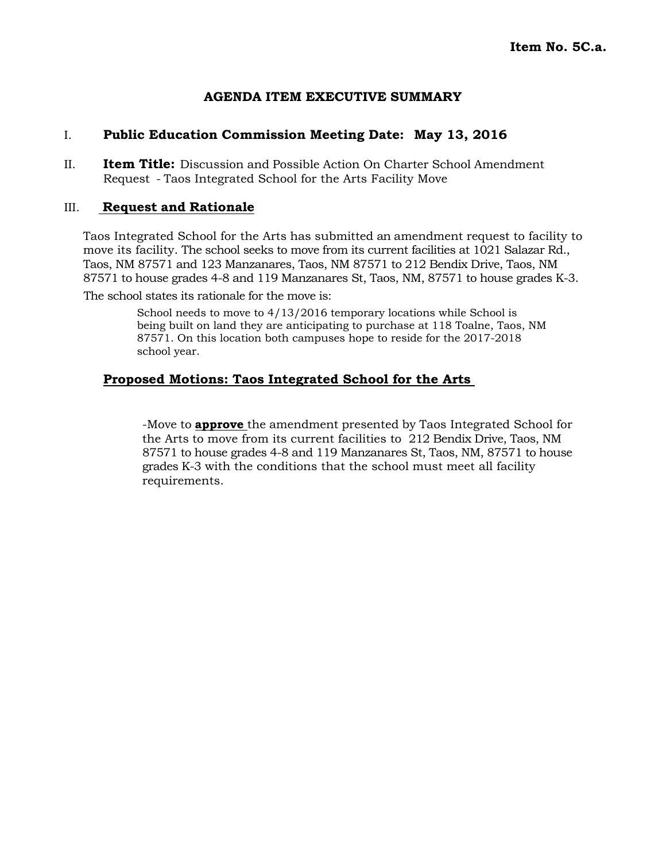# **AGENDA ITEM EXECUTIVE SUMMARY**

# I. **Public Education Commission Meeting Date: May 13, 2016**

II. **Item Title:** Discussion and Possible Action On Charter School Amendment Request - Taos Integrated School for the Arts Facility Move

# III. **Request and Rationale**

Taos Integrated School for the Arts has submitted an amendment request to facility to move its facility. The school seeks to move from its current facilities at 1021 Salazar Rd., Taos, NM 87571 and 123 Manzanares, Taos, NM 87571 to 212 Bendix Drive, Taos, NM 87571 to house grades 4-8 and 119 Manzanares St, Taos, NM, 87571 to house grades K-3.

The school states its rationale for the move is:

School needs to move to  $4/13/2016$  temporary locations while School is being built on land they are anticipating to purchase at 118 Toalne, Taos, NM 87571. On this location both campuses hope to reside for the 2017-2018 school year.

# **Proposed Motions: Taos Integrated School for the Arts**

-Move to **approve** the amendment presented by Taos Integrated School for the Arts to move from its current facilities to 212 Bendix Drive, Taos, NM 87571 to house grades 4-8 and 119 Manzanares St, Taos, NM, 87571 to house grades K-3 with the conditions that the school must meet all facility requirements.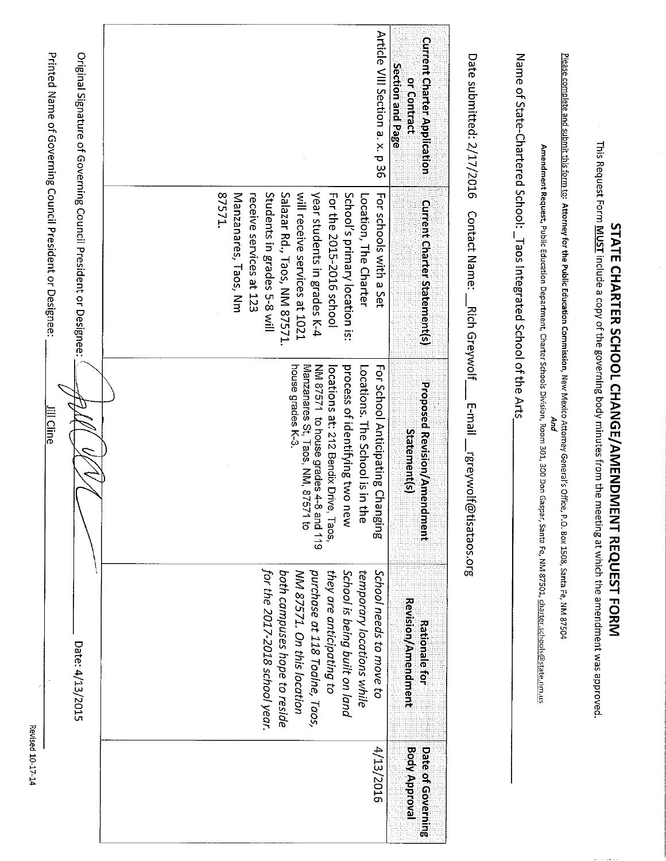| Date submitted: 2/17/2016                                             | <u>Please complete and submit this form to</u> : Attorney for the Public Education Commission, New Mexico Attorney General's Office,<br>Name of State-Chartered School: _Taos Integrated School of the Arts<br>Contact Name:<br>Rich Greywolf                                                            | Amendment Request, Public Education Department, Charter Schools Division, Room 300, 200 Don Gaspar, Santa Fe, NM 87501, charter schools@state.nm.us<br>liam-1<br>And<br>rgreywolf@<br>tisataos.org                                                             | P.O. Box 1508, Santa Fe, NM 87504                                                                                                                                                                                                                  |                                           |
|-----------------------------------------------------------------------|----------------------------------------------------------------------------------------------------------------------------------------------------------------------------------------------------------------------------------------------------------------------------------------------------------|----------------------------------------------------------------------------------------------------------------------------------------------------------------------------------------------------------------------------------------------------------------|----------------------------------------------------------------------------------------------------------------------------------------------------------------------------------------------------------------------------------------------------|-------------------------------------------|
| <b>Current Charter Application</b><br>Section and Page<br>or Contract | <b>Current Charter Statement(s)</b>                                                                                                                                                                                                                                                                      | Proposed Revision/Amend<br><b>Statement(s)</b><br>ment                                                                                                                                                                                                         | Revision/Amendment<br><b>Rationale for</b>                                                                                                                                                                                                         | <b>Body Approval</b><br>Date of Governing |
| Article VIII Section a. x. p 36                                       | Students in grades 5-8 will<br>will receive services at 1021<br>27571.<br>Manzanares, Taos, Nm<br>Salazar Rd., Taos, NM 87571.<br>year students in grades K-4<br>For the 2015-2016 school<br>School's primary location is:<br>receive services at 123<br>Location, The Charter<br>For schools with a Set | house grades K-3.<br>Manzanares St, Taos, NM, 87571 to<br>NM 87571 to house grades 4-8 and 119<br>process of identifying two n<br>For School Anticipating Changing<br>Locations. The School is in the<br>locations at: 212 Bendix Drive,<br>$T_{\rm 20S}$<br>ξ | for the 2017-2018 school year.<br>purchase at 118 Toalne, Taos,<br>they are anticipating to<br>School is being built on land<br>temporary locations while<br>School needs to move to<br>both campuses hope to reside<br>NM 87571. On this location | 4/13/2016                                 |
|                                                                       | Printed Name of Governing Council President or Designee:<br>Original Signature of Governing Council President or Designee:                                                                                                                                                                               | lill Cline                                                                                                                                                                                                                                                     | Date: 4/13/2015                                                                                                                                                                                                                                    |                                           |
|                                                                       |                                                                                                                                                                                                                                                                                                          |                                                                                                                                                                                                                                                                |                                                                                                                                                                                                                                                    |                                           |

STATE CHARTER SCHOOL CHANGE/AMENDMENT REQUEST FORM

Revised 10-17-14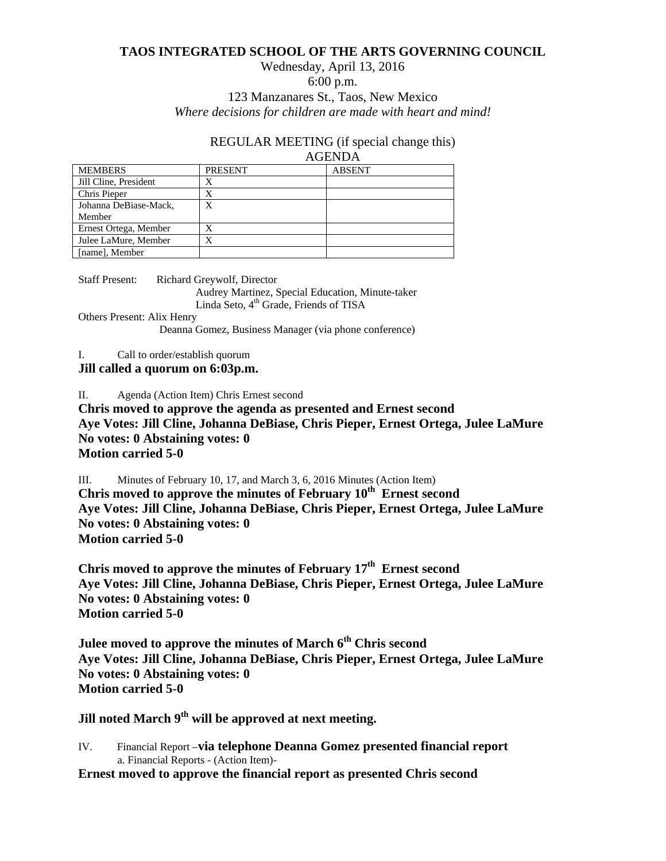# **TAOS INTEGRATED SCHOOL OF THE ARTS GOVERNING COUNCIL**

#### Wednesday, April 13, 2016 6:00 p.m. 123 Manzanares St., Taos, New Mexico *Where decisions for children are made with heart and mind!*

# REGULAR MEETING (if special change this)

#### AGENDA

| <b>MEMBERS</b>        | <b>PRESENT</b> | <b>ABSENT</b> |
|-----------------------|----------------|---------------|
| Jill Cline, President |                |               |
| Chris Pieper          | X              |               |
| Johanna DeBiase-Mack, | X              |               |
| Member                |                |               |
| Ernest Ortega, Member | X              |               |
| Julee LaMure, Member  | X              |               |
| [name], Member        |                |               |

Staff Present: Richard Greywolf, Director Audrey Martinez, Special Education, Minute-taker Linda Seto, 4<sup>th</sup> Grade, Friends of TISA

Others Present: Alix Henry

Deanna Gomez, Business Manager (via phone conference)

I. Call to order/establish quorum

**Jill called a quorum on 6:03p.m.** 

II. Agenda (Action Item) Chris Ernest second

**Chris moved to approve the agenda as presented and Ernest second Aye Votes: Jill Cline, Johanna DeBiase, Chris Pieper, Ernest Ortega, Julee LaMure No votes: 0 Abstaining votes: 0 Motion carried 5-0**

III. Minutes of February 10, 17, and March 3, 6, 2016 Minutes (Action Item) **Chris moved to approve the minutes of February 10th Ernest second Aye Votes: Jill Cline, Johanna DeBiase, Chris Pieper, Ernest Ortega, Julee LaMure No votes: 0 Abstaining votes: 0 Motion carried 5-0**

**Chris moved to approve the minutes of February 17th Ernest second Aye Votes: Jill Cline, Johanna DeBiase, Chris Pieper, Ernest Ortega, Julee LaMure No votes: 0 Abstaining votes: 0 Motion carried 5-0**

**Julee moved to approve the minutes of March 6th Chris second Aye Votes: Jill Cline, Johanna DeBiase, Chris Pieper, Ernest Ortega, Julee LaMure No votes: 0 Abstaining votes: 0 Motion carried 5-0**

**Jill noted March 9th will be approved at next meeting.** 

IV. Financial Report –**via telephone Deanna Gomez presented financial report** a. Financial Reports - (Action Item)-

**Ernest moved to approve the financial report as presented Chris second**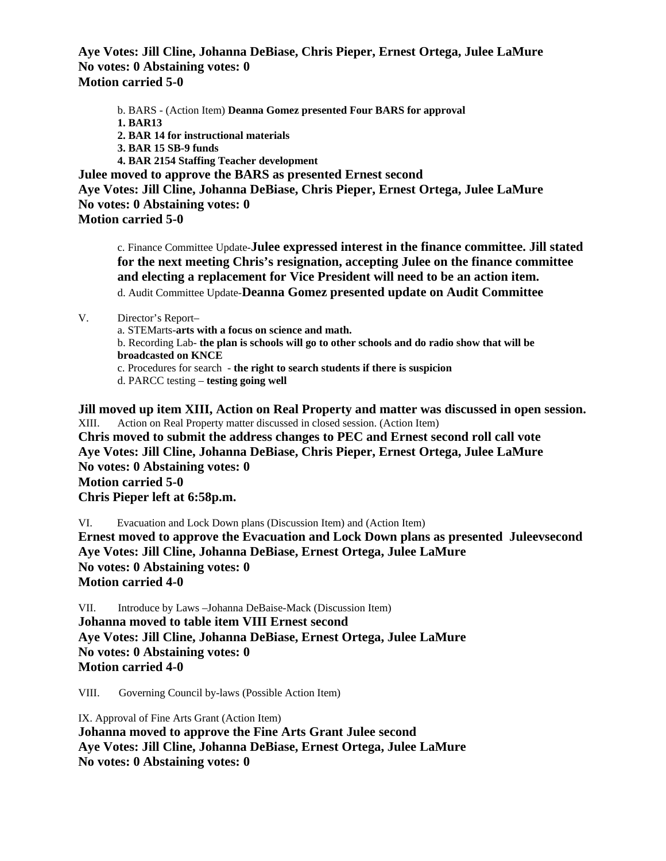**Aye Votes: Jill Cline, Johanna DeBiase, Chris Pieper, Ernest Ortega, Julee LaMure No votes: 0 Abstaining votes: 0 Motion carried 5-0**

b. BARS - (Action Item) **Deanna Gomez presented Four BARS for approval 1. BAR13 2. BAR 14 for instructional materials 3. BAR 15 SB-9 funds 4. BAR 2154 Staffing Teacher development Julee moved to approve the BARS as presented Ernest second Aye Votes: Jill Cline, Johanna DeBiase, Chris Pieper, Ernest Ortega, Julee LaMure No votes: 0 Abstaining votes: 0**

**Motion carried 5-0**

c. Finance Committee Update-**Julee expressed interest in the finance committee. Jill stated for the next meeting Chris's resignation, accepting Julee on the finance committee and electing a replacement for Vice President will need to be an action item.** d. Audit Committee Update-**Deanna Gomez presented update on Audit Committee**

V. Director's Report–

a. STEMarts-**arts with a focus on science and math.** b. Recording Lab- **the plan is schools will go to other schools and do radio show that will be broadcasted on KNCE** c. Procedures for search - **the right to search students if there is suspicion** d. PARCC testing – **testing going well**

**Jill moved up item XIII, Action on Real Property and matter was discussed in open session.** XIII. Action on Real Property matter discussed in closed session. (Action Item) **Chris moved to submit the address changes to PEC and Ernest second roll call vote Aye Votes: Jill Cline, Johanna DeBiase, Chris Pieper, Ernest Ortega, Julee LaMure No votes: 0 Abstaining votes: 0 Motion carried 5-0 Chris Pieper left at 6:58p.m.**

VI. Evacuation and Lock Down plans (Discussion Item) and (Action Item)

**Ernest moved to approve the Evacuation and Lock Down plans as presented Juleevsecond Aye Votes: Jill Cline, Johanna DeBiase, Ernest Ortega, Julee LaMure No votes: 0 Abstaining votes: 0 Motion carried 4-0**

VII. Introduce by Laws –Johanna DeBaise-Mack (Discussion Item) **Johanna moved to table item VIII Ernest second Aye Votes: Jill Cline, Johanna DeBiase, Ernest Ortega, Julee LaMure No votes: 0 Abstaining votes: 0 Motion carried 4-0**

VIII. Governing Council by-laws (Possible Action Item)

IX. Approval of Fine Arts Grant (Action Item) **Johanna moved to approve the Fine Arts Grant Julee second Aye Votes: Jill Cline, Johanna DeBiase, Ernest Ortega, Julee LaMure No votes: 0 Abstaining votes: 0**